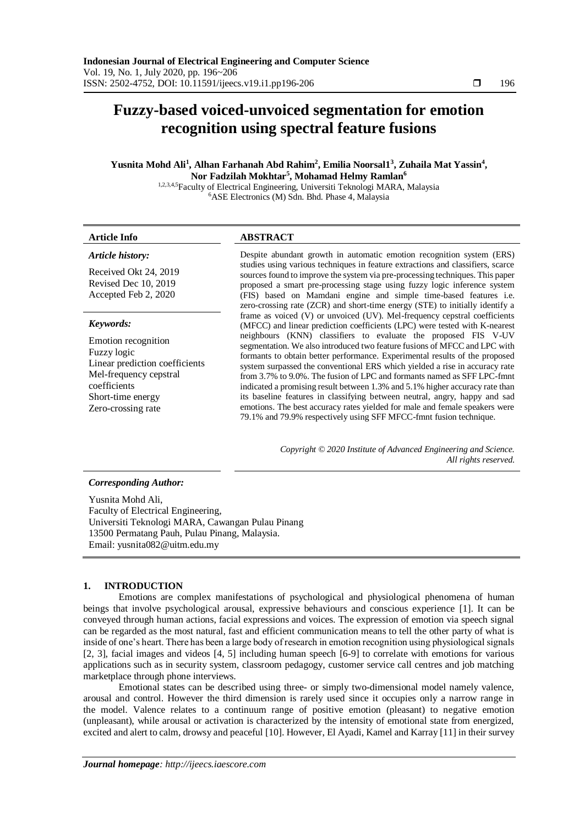# **Fuzzy-based voiced-unvoiced segmentation for emotion recognition using spectral feature fusions**

# **Yusnita Mohd Ali<sup>1</sup> , Alhan Farhanah Abd Rahim<sup>2</sup> , Emilia Noorsal1<sup>3</sup> , Zuhaila Mat Yassin<sup>4</sup> , Nor Fadzilah Mokhtar<sup>5</sup> , Mohamad Helmy Ramlan<sup>6</sup>**

1,2,3,4,5Faculty of Electrical Engineering, Universiti Teknologi MARA, Malaysia <sup>6</sup>ASE Electronics (M) Sdn. Bhd. Phase 4, Malaysia

# **Article Info ABSTRACT**

*Article history:*

Received Okt 24, 2019 Revised Dec 10, 2019 Accepted Feb 2, 2020

# *Keywords:*

Emotion recognition Fuzzy logic Linear prediction coefficients Mel-frequency cepstral coefficients Short-time energy Zero-crossing rate

Despite abundant growth in automatic emotion recognition system (ERS) studies using various techniques in feature extractions and classifiers, scarce sources found to improve the system via pre-processing techniques. This paper proposed a smart pre-processing stage using fuzzy logic inference system (FIS) based on Mamdani engine and simple time-based features i.e. zero-crossing rate (ZCR) and short-time energy (STE) to initially identify a frame as voiced (V) or unvoiced (UV). Mel-frequency cepstral coefficients (MFCC) and linear prediction coefficients (LPC) were tested with K-nearest neighbours (KNN) classifiers to evaluate the proposed FIS V-UV segmentation. We also introduced two feature fusions of MFCC and LPC with formants to obtain better performance. Experimental results of the proposed system surpassed the conventional ERS which yielded a rise in accuracy rate from 3.7% to 9.0%. The fusion of LPC and formants named as SFF LPC-fmnt indicated a promising result between 1.3% and 5.1% higher accuracy rate than its baseline features in classifying between neutral, angry, happy and sad emotions. The best accuracy rates yielded for male and female speakers were 79.1% and 79.9% respectively using SFF MFCC-fmnt fusion technique.

> *Copyright © 2020 Institute of Advanced Engineering and Science. All rights reserved.*

### *Corresponding Author:*

Yusnita Mohd Ali, Faculty of Electrical Engineering, Universiti Teknologi MARA, Cawangan Pulau Pinang 13500 Permatang Pauh, Pulau Pinang, Malaysia. Email[: yusnita082@uitm.edu.my](mailto:yusnita082@uitm.edu.my)

# **1. INTRODUCTION**

Emotions are complex manifestations of psychological and physiological phenomena of human beings that involve psychological arousal, expressive behaviours and conscious experience [1]. It can be conveyed through human actions, facial expressions and voices. The expression of emotion via speech signal can be regarded as the most natural, fast and efficient communication means to tell the other party of what is inside of one's heart. There has been a large body of research in emotion recognition using physiological signals [2, 3], facial images and videos [4, 5] including human speech [6-9] to correlate with emotions for various applications such as in security system, classroom pedagogy, customer service call centres and job matching marketplace through phone interviews.

Emotional states can be described using three- or simply two-dimensional model namely valence, arousal and control. However the third dimension is rarely used since it occupies only a narrow range in the model. Valence relates to a continuum range of positive emotion (pleasant) to negative emotion (unpleasant), while arousal or activation is characterized by the intensity of emotional state from energized, excited and alert to calm, drowsy and peaceful [10]. However, El Ayadi, Kamel and Karray [11] in their survey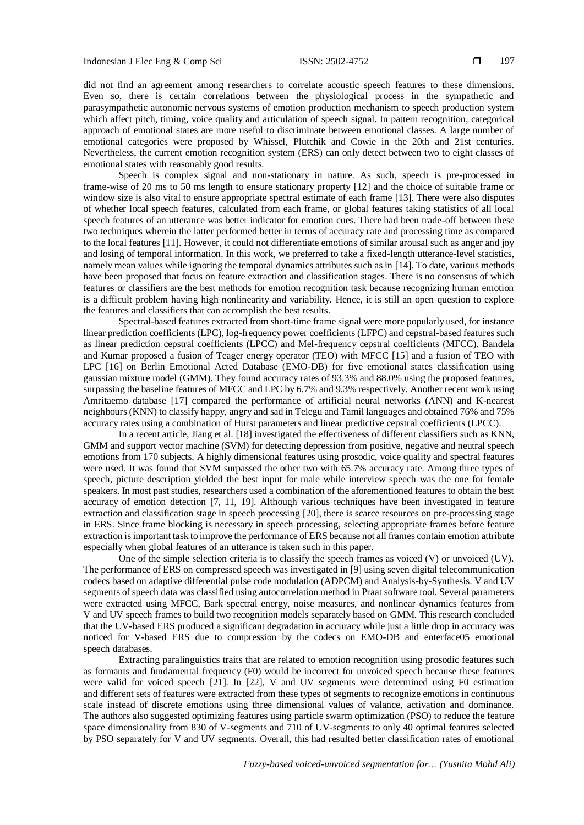did not find an agreement among researchers to correlate acoustic speech features to these dimensions. Even so, there is certain correlations between the physiological process in the sympathetic and parasympathetic autonomic nervous systems of emotion production mechanism to speech production system which affect pitch, timing, voice quality and articulation of speech signal. In pattern recognition, categorical approach of emotional states are more useful to discriminate between emotional classes. A large number of emotional categories were proposed by Whissel, Plutchik and Cowie in the 20th and 21st centuries. Nevertheless, the current emotion recognition system (ERS) can only detect between two to eight classes of emotional states with reasonably good results.

Speech is complex signal and non-stationary in nature. As such, speech is pre-processed in frame-wise of 20 ms to 50 ms length to ensure stationary property [12] and the choice of suitable frame or window size is also vital to ensure appropriate spectral estimate of each frame [13]. There were also disputes of whether local speech features, calculated from each frame, or global features taking statistics of all local speech features of an utterance was better indicator for emotion cues. There had been trade-off between these two techniques wherein the latter performed better in terms of accuracy rate and processing time as compared to the local features [11]. However, it could not differentiate emotions of similar arousal such as anger and joy and losing of temporal information. In this work, we preferred to take a fixed-length utterance-level statistics, namely mean values while ignoring the temporal dynamics attributes such as in [14]. To date, various methods have been proposed that focus on feature extraction and classification stages. There is no consensus of which features or classifiers are the best methods for emotion recognition task because recognizing human emotion is a difficult problem having high nonlinearity and variability. Hence, it is still an open question to explore the features and classifiers that can accomplish the best results.

Spectral-based features extracted from short-time frame signal were more popularly used, for instance linear prediction coefficients (LPC), log-frequency power coefficients (LFPC) and cepstral-based features such as linear prediction cepstral coefficients (LPCC) and Mel-frequency cepstral coefficients (MFCC). Bandela and Kumar proposed a fusion of Teager energy operator (TEO) with MFCC [15] and a fusion of TEO with LPC [16] on Berlin Emotional Acted Database (EMO-DB) for five emotional states classification using gaussian mixture model (GMM). They found accuracy rates of 93.3% and 88.0% using the proposed features, surpassing the baseline features of MFCC and LPC by 6.7% and 9.3% respectively. Another recent work using Amritaemo database [17] compared the performance of artificial neural networks (ANN) and K-nearest neighbours (KNN) to classify happy, angry and sad in Telegu and Tamil languages and obtained 76% and 75% accuracy rates using a combination of Hurst parameters and linear predictive cepstral coefficients (LPCC).

In a recent article, Jiang et al. [18] investigated the effectiveness of different classifiers such as KNN, GMM and support vector machine (SVM) for detecting depression from positive, negative and neutral speech emotions from 170 subjects. A highly dimensional features using prosodic, voice quality and spectral features were used. It was found that SVM surpassed the other two with 65.7% accuracy rate. Among three types of speech, picture description yielded the best input for male while interview speech was the one for female speakers. In most past studies, researchers used a combination of the aforementioned features to obtain the best accuracy of emotion detection [7, 11, 19]. Although various techniques have been investigated in feature extraction and classification stage in speech processing [20], there is scarce resources on pre-processing stage in ERS. Since frame blocking is necessary in speech processing, selecting appropriate frames before feature extraction is important task to improve the performance of ERS because not all frames contain emotion attribute especially when global features of an utterance is taken such in this paper.

One of the simple selection criteria is to classify the speech frames as voiced (V) or unvoiced (UV). The performance of ERS on compressed speech was investigated in [9] using seven digital telecommunication codecs based on adaptive differential pulse code modulation (ADPCM) and Analysis-by-Synthesis. V and UV segments of speech data was classified using autocorrelation method in Praat software tool. Several parameters were extracted using MFCC, Bark spectral energy, noise measures, and nonlinear dynamics features from V and UV speech frames to build two recognition models separately based on GMM. This research concluded that the UV-based ERS produced a significant degradation in accuracy while just a little drop in accuracy was noticed for V-based ERS due to compression by the codecs on EMO-DB and enterface05 emotional speech databases.

Extracting paralinguistics traits that are related to emotion recognition using prosodic features such as formants and fundamental frequency (F0) would be incorrect for unvoiced speech because these features were valid for voiced speech [21]. In [22], V and UV segments were determined using F0 estimation and different sets of features were extracted from these types of segments to recognize emotions in continuous scale instead of discrete emotions using three dimensional values of valance, activation and dominance. The authors also suggested optimizing features using particle swarm optimization (PSO) to reduce the feature space dimensionality from 830 of V-segments and 710 of UV-segments to only 40 optimal features selected by PSO separately for V and UV segments. Overall, this had resulted better classification rates of emotional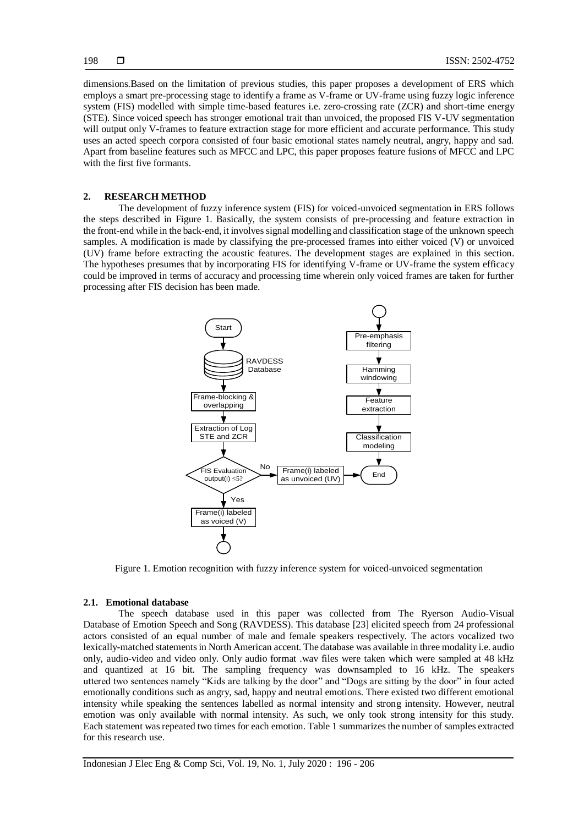dimensions.Based on the limitation of previous studies, this paper proposes a development of ERS which employs a smart pre-processing stage to identify a frame as V-frame or UV-frame using fuzzy logic inference system (FIS) modelled with simple time-based features i.e. zero-crossing rate (ZCR) and short-time energy (STE). Since voiced speech has stronger emotional trait than unvoiced, the proposed FIS V-UV segmentation will output only V-frames to feature extraction stage for more efficient and accurate performance. This study uses an acted speech corpora consisted of four basic emotional states namely neutral, angry, happy and sad. Apart from baseline features such as MFCC and LPC, this paper proposes feature fusions of MFCC and LPC with the first five formants.

#### **2. RESEARCH METHOD**

The development of fuzzy inference system (FIS) for voiced-unvoiced segmentation in ERS follows the steps described in Figure 1. Basically, the system consists of pre-processing and feature extraction in the front-end while in the back-end, it involves signal modelling and classification stage of the unknown speech samples. A modification is made by classifying the pre-processed frames into either voiced (V) or unvoiced (UV) frame before extracting the acoustic features. The development stages are explained in this section. The hypotheses presumes that by incorporating FIS for identifying V-frame or UV-frame the system efficacy could be improved in terms of accuracy and processing time wherein only voiced frames are taken for further processing after FIS decision has been made.



Figure 1. Emotion recognition with fuzzy inference system for voiced-unvoiced segmentation

#### **2.1. Emotional database**

The speech database used in this paper was collected from The Ryerson Audio-Visual Database of Emotion Speech and Song (RAVDESS). This database [23] elicited speech from 24 professional actors consisted of an equal number of male and female speakers respectively. The actors vocalized two lexically-matched statements in North American accent. The database was available in three modality i.e. audio only, audio-video and video only. Only audio format .wav files were taken which were sampled at 48 kHz and quantized at 16 bit. The sampling frequency was downsampled to 16 kHz. The speakers uttered two sentences namely "Kids are talking by the door" and "Dogs are sitting by the door" in four acted emotionally conditions such as angry, sad, happy and neutral emotions. There existed two different emotional intensity while speaking the sentences labelled as normal intensity and strong intensity. However, neutral emotion was only available with normal intensity. As such, we only took strong intensity for this study. Each statement was repeated two times for each emotion. Table 1 summarizes the number of samples extracted for this research use.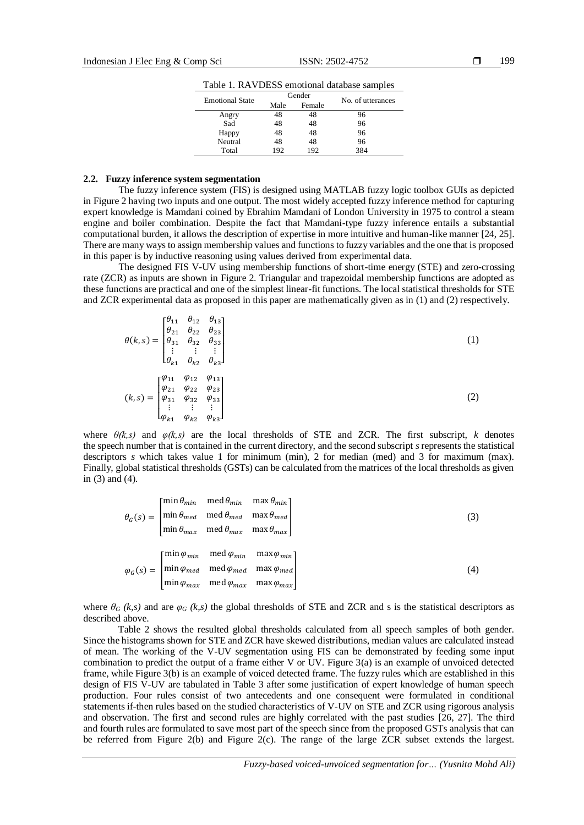Table 1. RAVDESS emotional database samples

| <b>Emotional State</b> | Gender |        | No. of utterances |
|------------------------|--------|--------|-------------------|
|                        | Male   | Female |                   |
| Angry                  | 48     | 48     | 96                |
| Sad                    | 48     | 48     | 96                |
| Happy                  | 48     | 48     | 96                |
| Neutral                | 48     | 48     | 96                |
| Total                  | 192    | 192    | 384               |

### **2.2. Fuzzy inference system segmentation**

The fuzzy inference system (FIS) is designed using MATLAB fuzzy logic toolbox GUIs as depicted in Figure 2 having two inputs and one output. The most widely accepted fuzzy inference method for capturing expert knowledge is Mamdani coined by Ebrahim Mamdani of London University in 1975 to control a steam engine and boiler combination. Despite the fact that Mamdani-type fuzzy inference entails a substantial computational burden, it allows the description of expertise in more intuitive and human-like manner [24, 25]. There are many ways to assign membership values and functions to fuzzy variables and the one that is proposed in this paper is by inductive reasoning using values derived from experimental data.

The designed FIS V-UV using membership functions of short-time energy (STE) and zero-crossing rate (ZCR) as inputs are shown in Figure 2. Triangular and trapezoidal membership functions are adopted as these functions are practical and one of the simplest linear-fit functions. The local statistical thresholds for STE and ZCR experimental data as proposed in this paper are mathematically given as in (1) and (2) respectively.

$$
\theta(k,s) = \begin{bmatrix} \theta_{11} & \theta_{12} & \theta_{13} \\ \theta_{21} & \theta_{22} & \theta_{23} \\ \theta_{31} & \theta_{32} & \theta_{33} \\ \vdots & \vdots & \vdots \\ \theta_{k1} & \theta_{k2} & \theta_{k3} \end{bmatrix}
$$
(1)  

$$
(k,s) = \begin{bmatrix} \varphi_{11} & \varphi_{12} & \varphi_{13} \\ \varphi_{21} & \varphi_{22} & \varphi_{23} \\ \varphi_{31} & \varphi_{32} & \varphi_{33} \\ \vdots & \vdots & \vdots \\ \varphi_{k1} & \varphi_{k2} & \varphi_{k3} \end{bmatrix}
$$
(2)

where  $\theta(k,s)$  and  $\varphi(k,s)$  are the local thresholds of STE and ZCR. The first subscript, *k* denotes the speech number that is contained in the current directory, and the second subscript *s*represents the statistical descriptors *s* which takes value 1 for minimum (min), 2 for median (med) and 3 for maximum (max). Finally, global statistical thresholds (GSTs) can be calculated from the matrices of the local thresholds as given in (3) and (4).

$$
\theta_G(s) = \begin{bmatrix} \min \theta_{min} & \text{med } \theta_{min} & \max \theta_{min} \\ \min \theta_{med} & \text{med } \theta_{med} & \max \theta_{med} \\ \min \theta_{max} & \text{med } \theta_{max} & \max \theta_{max} \end{bmatrix} \tag{3}
$$
\n
$$
\varphi_G(s) = \begin{bmatrix} \min \varphi_{min} & \text{med } \varphi_{min} & \max \varphi_{min} \\ \min \varphi_{med} & \text{med } \varphi_{med} & \max \varphi_{med} \\ \min \varphi_{max} & \text{med } \varphi_{max} & \max \varphi_{max} \end{bmatrix} \tag{4}
$$

where  $\theta_G$  (k,s) and are  $\varphi_G$  (k,s) the global thresholds of STE and ZCR and s is the statistical descriptors as described above.

Table 2 shows the resulted global thresholds calculated from all speech samples of both gender. Since the histograms shown for STE and ZCR have skewed distributions, median values are calculated instead of mean. The working of the V-UV segmentation using FIS can be demonstrated by feeding some input combination to predict the output of a frame either V or UV. Figure 3(a) is an example of unvoiced detected frame, while Figure 3(b) is an example of voiced detected frame. The fuzzy rules which are established in this design of FIS V-UV are tabulated in Table 3 after some justification of expert knowledge of human speech production. Four rules consist of two antecedents and one consequent were formulated in conditional statements if-then rules based on the studied characteristics of V-UV on STE and ZCR using rigorous analysis and observation. The first and second rules are highly correlated with the past studies [26, 27]. The third and fourth rules are formulated to save most part of the speech since from the proposed GSTs analysis that can be referred from Figure 2(b) and Figure 2(c). The range of the large ZCR subset extends the largest.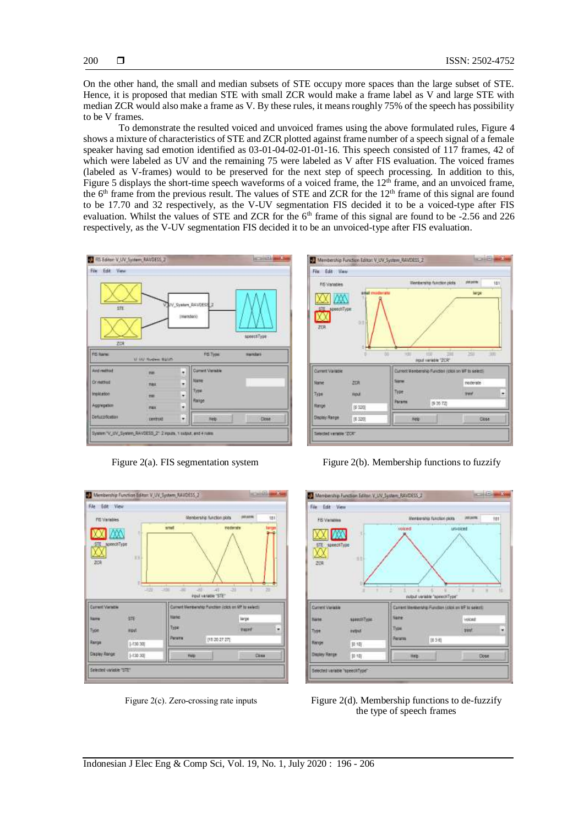On the other hand, the small and median subsets of STE occupy more spaces than the large subset of STE. Hence, it is proposed that median STE with small ZCR would make a frame label as V and large STE with median ZCR would also make a frame as V. By these rules, it means roughly 75% of the speech has possibility to be V frames.

To demonstrate the resulted voiced and unvoiced frames using the above formulated rules, Figure 4 shows a mixture of characteristics of STE and ZCR plotted against frame number of a speech signal of a female speaker having sad emotion identified as 03-01-04-02-01-01-16. This speech consisted of 117 frames, 42 of which were labeled as UV and the remaining 75 were labeled as V after FIS evaluation. The voiced frames (labeled as V-frames) would to be preserved for the next step of speech processing. In addition to this, Figure 5 displays the short-time speech waveforms of a voiced frame, the  $12<sup>th</sup>$  frame, and an unvoiced frame, the 6<sup>th</sup> frame from the previous result. The values of STE and ZCR for the  $12<sup>th</sup>$  frame of this signal are found to be 17.70 and 32 respectively, as the V-UV segmentation FIS decided it to be a voiced-type after FIS evaluation. Whilst the values of STE and ZCR for the 6<sup>th</sup> frame of this signal are found to be -2.56 and 226 respectively, as the V-UV segmentation FIS decided it to be an unvoiced-type after FIS evaluation.





Figure 2(a). FIS segmentation system Figure 2(b). Membership functions to fuzzify





Figure 2(c). Zero-crossing rate inputs Figure 2(d). Membership functions to de-fuzzify the type of speech frames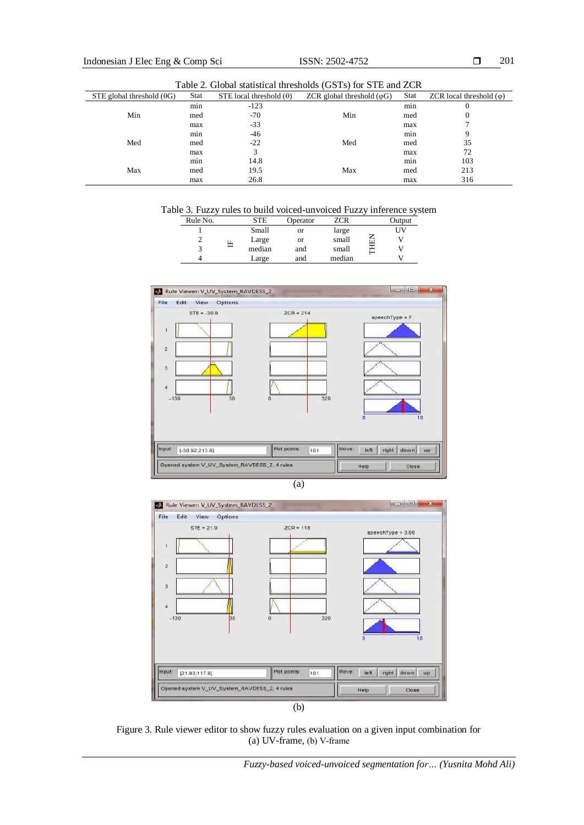201

| Table 2. Global statistical thresholds (GSTs) for STE and ZCR |             |                                |                                    |             |                                 |
|---------------------------------------------------------------|-------------|--------------------------------|------------------------------------|-------------|---------------------------------|
| STE global threshold $(\theta G)$                             | <b>Stat</b> | STE local threshold $(\theta)$ | ZCR global threshold $(\varphi G)$ | <b>Stat</b> | ZCR local threshold $(\varphi)$ |
|                                                               | min         | $-123$                         |                                    | min         | $\theta$                        |
| Min                                                           | med         | $-70$                          | Min                                | med         | $\theta$                        |
|                                                               | max         | $-33$                          |                                    | max         |                                 |
|                                                               | min         | -46                            |                                    | min         | 9                               |
| Med                                                           | med         | $-22$                          | Med                                | med         | 35                              |
|                                                               | max         | 3                              |                                    | max         | 72                              |
|                                                               | min         | 14.8                           |                                    | min         | 103                             |
| Max                                                           | med         | 19.5                           | Max                                | med         | 213                             |
|                                                               | max         | 26.8                           |                                    | max         | 316                             |

Table 3. Fuzzy rules to build voiced-unvoiced Fuzzy inference system

| Rule No. | STE    | Operator | ZCR    | Output |
|----------|--------|----------|--------|--------|
|          | Small  | or       | large  | UV     |
|          | Large  | or       | small  |        |
|          | median | and      | small  |        |
|          | Large  | and      | median |        |







Figure 3. Rule viewer editor to show fuzzy rules evaluation on a given input combination for (a) UV-frame, (b) V-frame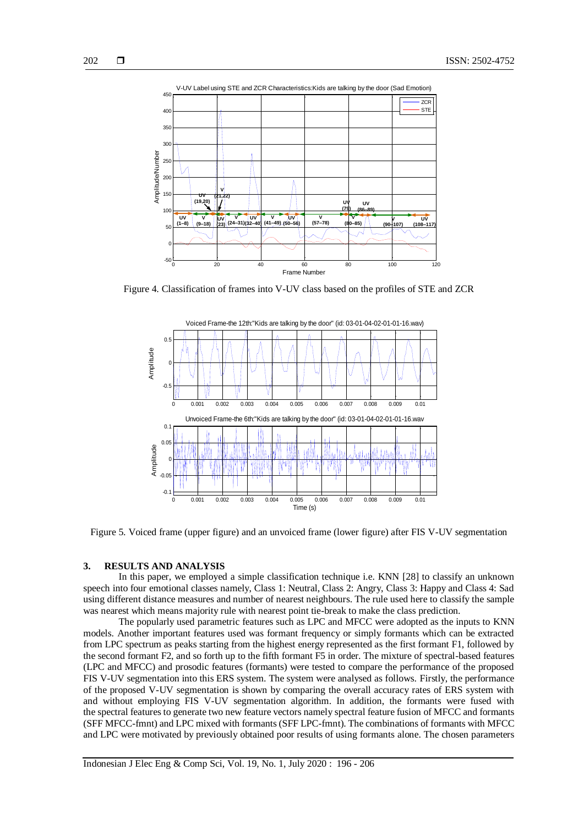



Figure 4. Classification of frames into V-UV class based on the profiles of STE and ZCR



Figure 5. Voiced frame (upper figure) and an unvoiced frame (lower figure) after FIS V-UV segmentation

#### **3. RESULTS AND ANALYSIS**

In this paper, we employed a simple classification technique i.e. KNN [28] to classify an unknown speech into four emotional classes namely, Class 1: Neutral, Class 2: Angry, Class 3: Happy and Class 4: Sad using different distance measures and number of nearest neighbours. The rule used here to classify the sample was nearest which means majority rule with nearest point tie-break to make the class prediction.

The popularly used parametric features such as LPC and MFCC were adopted as the inputs to KNN models. Another important features used was formant frequency or simply formants which can be extracted from LPC spectrum as peaks starting from the highest energy represented as the first formant F1, followed by the second formant F2, and so forth up to the fifth formant F5 in order. The mixture of spectral-based features (LPC and MFCC) and prosodic features (formants) were tested to compare the performance of the proposed FIS V-UV segmentation into this ERS system. The system were analysed as follows. Firstly, the performance of the proposed V-UV segmentation is shown by comparing the overall accuracy rates of ERS system with and without employing FIS V-UV segmentation algorithm. In addition, the formants were fused with the spectral features to generate two new feature vectors namely spectral feature fusion of MFCC and formants (SFF MFCC-fmnt) and LPC mixed with formants (SFF LPC-fmnt). The combinations of formants with MFCC and LPC were motivated by previously obtained poor results of using formants alone. The chosen parameters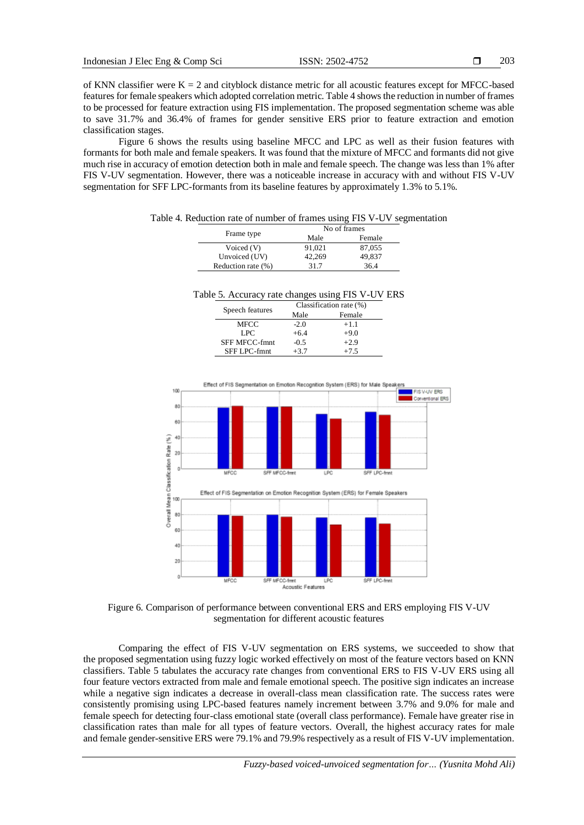of KNN classifier were  $K = 2$  and cityblock distance metric for all acoustic features except for MFCC-based features for female speakers which adopted correlation metric. Table 4 shows the reduction in number of frames to be processed for feature extraction using FIS implementation. The proposed segmentation scheme was able to save 31.7% and 36.4% of frames for gender sensitive ERS prior to feature extraction and emotion classification stages.

Figure 6 shows the results using baseline MFCC and LPC as well as their fusion features with formants for both male and female speakers. It was found that the mixture of MFCC and formants did not give much rise in accuracy of emotion detection both in male and female speech. The change was less than 1% after FIS V-UV segmentation. However, there was a noticeable increase in accuracy with and without FIS V-UV segmentation for SFF LPC-formants from its baseline features by approximately 1.3% to 5.1%.

Table 4. Reduction rate of number of frames using FIS V-UV segmentation

| Frame type         | No of frames |        |  |
|--------------------|--------------|--------|--|
|                    | Male         | Female |  |
| Voiced (V)         | 91.021       | 87,055 |  |
| Unvoiced (UV)      | 42.269       | 49.837 |  |
| Reduction rate (%) | 31.7         | 36.4   |  |

Table 5. Accuracy rate changes using FIS V-UV ERS

| Speech features      | Classification rate (%) |        |  |
|----------------------|-------------------------|--------|--|
|                      | Male                    | Female |  |
| MFCC                 | $-2.0$                  | $+1.1$ |  |
| LPC.                 | $+6.4$                  | $+9.0$ |  |
| <b>SFF MFCC-fmnt</b> | $-0.5$                  | $+2.9$ |  |
| SFF LPC-fmnt         | $+3.7$                  | $+7.5$ |  |



Figure 6. Comparison of performance between conventional ERS and ERS employing FIS V-UV segmentation for different acoustic features

Comparing the effect of FIS V-UV segmentation on ERS systems, we succeeded to show that the proposed segmentation using fuzzy logic worked effectively on most of the feature vectors based on KNN classifiers. Table 5 tabulates the accuracy rate changes from conventional ERS to FIS V-UV ERS using all four feature vectors extracted from male and female emotional speech. The positive sign indicates an increase while a negative sign indicates a decrease in overall-class mean classification rate. The success rates were consistently promising using LPC-based features namely increment between 3.7% and 9.0% for male and female speech for detecting four-class emotional state (overall class performance). Female have greater rise in classification rates than male for all types of feature vectors. Overall, the highest accuracy rates for male and female gender-sensitive ERS were 79.1% and 79.9% respectively as a result of FIS V-UV implementation.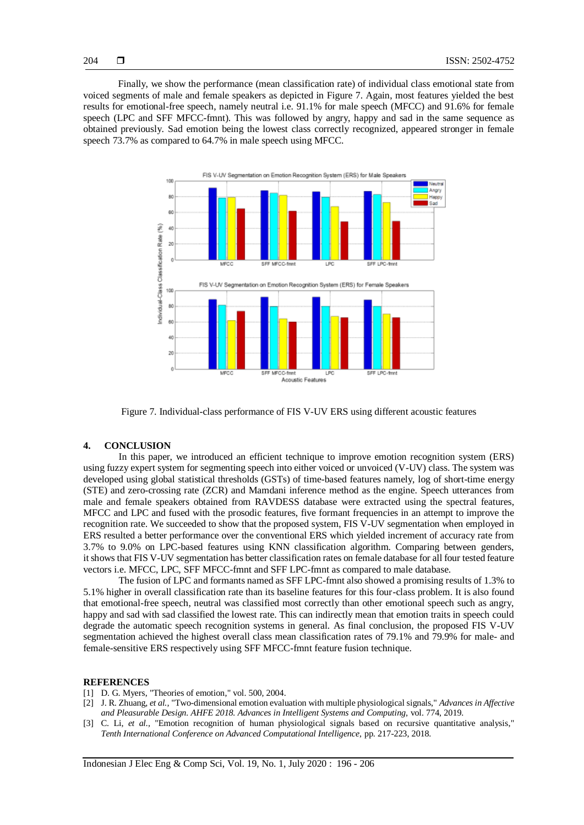Finally, we show the performance (mean classification rate) of individual class emotional state from voiced segments of male and female speakers as depicted in Figure 7. Again, most features yielded the best results for emotional-free speech, namely neutral i.e. 91.1% for male speech (MFCC) and 91.6% for female speech (LPC and SFF MFCC-fmnt). This was followed by angry, happy and sad in the same sequence as obtained previously. Sad emotion being the lowest class correctly recognized, appeared stronger in female speech 73.7% as compared to 64.7% in male speech using MFCC.



Figure 7. Individual-class performance of FIS V-UV ERS using different acoustic features

# **4. CONCLUSION**

In this paper, we introduced an efficient technique to improve emotion recognition system (ERS) using fuzzy expert system for segmenting speech into either voiced or unvoiced (V-UV) class. The system was developed using global statistical thresholds (GSTs) of time-based features namely, log of short-time energy (STE) and zero-crossing rate (ZCR) and Mamdani inference method as the engine. Speech utterances from male and female speakers obtained from RAVDESS database were extracted using the spectral features, MFCC and LPC and fused with the prosodic features, five formant frequencies in an attempt to improve the recognition rate. We succeeded to show that the proposed system, FIS V-UV segmentation when employed in ERS resulted a better performance over the conventional ERS which yielded increment of accuracy rate from 3.7% to 9.0% on LPC-based features using KNN classification algorithm. Comparing between genders, it shows that FIS V-UV segmentation has better classification rates on female database for all four tested feature vectors i.e. MFCC, LPC, SFF MFCC-fmnt and SFF LPC-fmnt as compared to male database.

The fusion of LPC and formants named as SFF LPC-fmnt also showed a promising results of 1.3% to 5.1% higher in overall classification rate than its baseline features for this four-class problem. It is also found that emotional-free speech, neutral was classified most correctly than other emotional speech such as angry, happy and sad with sad classified the lowest rate. This can indirectly mean that emotion traits in speech could degrade the automatic speech recognition systems in general. As final conclusion, the proposed FIS V-UV segmentation achieved the highest overall class mean classification rates of 79.1% and 79.9% for male- and female-sensitive ERS respectively using SFF MFCC-fmnt feature fusion technique.

#### **REFERENCES**

- [1] D. G. Myers, "Theories of emotion," vol. 500, 2004.
- [2] J. R. Zhuang, *et al.,* "Two-dimensional emotion evaluation with multiple physiological signals," *Advances in Affective and Pleasurable Design. AHFE 2018. Advances in Intelligent Systems and Computing,* vol. 774, 2019.
- [3] C. Li, *et al.*, "Emotion recognition of human physiological signals based on recursive quantitative analysis," *Tenth International Conference on Advanced Computational Intelligence,* pp. 217-223, 2018.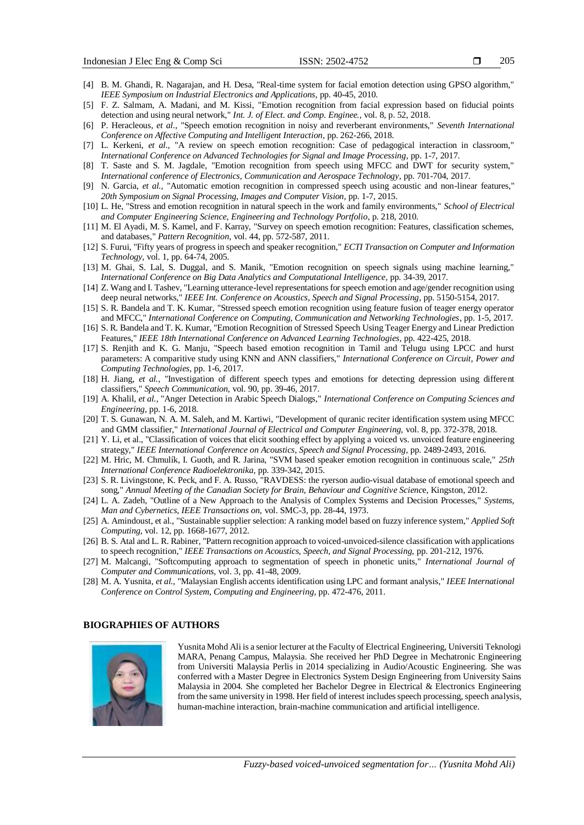- [4] B. M. Ghandi, R. Nagarajan, and H. Desa, "Real-time system for facial emotion detection using GPSO algorithm," *IEEE Symposium on Industrial Electronics and Applications,* pp. 40-45, 2010.
- [5] F. Z. Salmam, A. Madani, and M. Kissi, "Emotion recognition from facial expression based on fiducial points detection and using neural network," *Int. J. of Elect. and Comp. Enginee.,* vol. 8, p. 52, 2018.
- [6] P. Heracleous, *et al.,* "Speech emotion recognition in noisy and reverberant environments," *Seventh International Conference on Affective Computing and Intelligent Interaction,* pp. 262-266, 2018.
- [7] L. Kerkeni, *et al.,* "A review on speech emotion recognition: Case of pedagogical interaction in classroom," *International Conference on Advanced Technologies for Signal and Image Processing,* pp. 1-7, 2017.
- [8] T. Saste and S. M. Jagdale, "Emotion recognition from speech using MFCC and DWT for security system," *International conference of Electronics, Communication and Aerospace Technology,* pp. 701-704, 2017.
- [9] N. Garcia, *et al.,* "Automatic emotion recognition in compressed speech using acoustic and non-linear features," *20th Symposium on Signal Processing, Images and Computer Vision,* pp. 1-7, 2015.
- [10] L. He, "Stress and emotion recognition in natural speech in the work and family environments," *School of Electrical and Computer Engineering Science, Engineering and Technology Portfolio,* p. 218, 2010.
- [11] M. El Ayadi, M. S. Kamel, and F. Karray, "Survey on speech emotion recognition: Features, classification schemes, and databases," *Pattern Recognition,* vol. 44, pp. 572-587, 2011.
- [12] S. Furui, "Fifty years of progress in speech and speaker recognition," *ECTI Transaction on Computer and Information Technology,* vol. 1, pp. 64-74, 2005.
- [13] M. Ghai, S. Lal, S. Duggal, and S. Manik, "Emotion recognition on speech signals using machine learning," *International Conference on Big Data Analytics and Computational Intelligence,* pp. 34-39, 2017.
- [14] Z. Wang and I. Tashev, "Learning utterance-level representations for speech emotion and age/gender recognition using deep neural networks," *IEEE Int. Conference on Acoustics, Speech and Signal Processing,* pp. 5150-5154, 2017.
- [15] S. R. Bandela and T. K. Kumar, "Stressed speech emotion recognition using feature fusion of teager energy operator and MFCC," *International Conference on Computing, Communication and Networking Technologies,* pp. 1-5, 2017.
- [16] S. R. Bandela and T. K. Kumar, "Emotion Recognition of Stressed Speech Using Teager Energy and Linear Prediction Features," *IEEE 18th International Conference on Advanced Learning Technologies,* pp. 422-425, 2018.
- [17] S. Renjith and K. G. Manju, "Speech based emotion recognition in Tamil and Telugu using LPCC and hurst parameters: A comparitive study using KNN and ANN classifiers," *International Conference on Circuit, Power and Computing Technologies,* pp. 1-6, 2017.
- [18] H. Jiang, *et al.,* "Investigation of different speech types and emotions for detecting depression using different classifiers," *Speech Communication,* vol. 90, pp. 39-46, 2017.
- [19] A. Khalil, *et al.,* "Anger Detection in Arabic Speech Dialogs," *International Conference on Computing Sciences and Engineering,* pp. 1-6, 2018.
- [20] T. S. Gunawan, N. A. M. Saleh, and M. Kartiwi, "Development of quranic reciter identification system using MFCC and GMM classifier," *International Journal of Electrical and Computer Engineering,* vol. 8, pp. 372-378, 2018.
- [21] Y. Li, et al., "Classification of voices that elicit soothing effect by applying a voiced vs. unvoiced feature engineering strategy," *IEEE International Conference on Acoustics, Speech and Signal Processing,* pp. 2489-2493, 2016.
- [22] M. Hric, M. Chmulík, I. Guoth, and R. Jarina, "SVM based speaker emotion recognition in continuous scale," *25th International Conference Radioelektronika,* pp. 339-342, 2015.
- [23] S. R. Livingstone, K. Peck, and F. A. Russo, "RAVDESS: the ryerson audio-visual database of emotional speech and song," *Annual Meeting of the Canadian Society for Brain, Behaviour and Cognitive Scienc*e, Kingston, 2012.
- [24] L. A. Zadeh, "Outline of a New Approach to the Analysis of Complex Systems and Decision Processes," *Systems, Man and Cybernetics, IEEE Transactions on,* vol. SMC-3, pp. 28-44, 1973.
- [25] A. Amindoust, et al., "Sustainable supplier selection: A ranking model based on fuzzy inference system," *Applied Soft Computing,* vol. 12, pp. 1668-1677, 2012.
- [26] B. S. Atal and L. R. Rabiner, "Pattern recognition approach to voiced-unvoiced-silence classification with applications to speech recognition," *IEEE Transactions on Acoustics, Speech, and Signal Processing,* pp. 201-212, 1976.
- [27] M. Malcangi, "Softcomputing approach to segmentation of speech in phonetic units," *International Journal of Computer and Communications,* vol. 3, pp. 41-48, 2009.
- [28] M. A. Yusnita, *et al.,* "Malaysian English accents identification using LPC and formant analysis," *IEEE International Conference on Control System, Computing and Engineering,* pp. 472-476, 2011.

#### **BIOGRAPHIES OF AUTHORS**



Yusnita Mohd Ali is a senior lecturer at the Faculty of Electrical Engineering, Universiti Teknologi MARA, Penang Campus, Malaysia. She received her PhD Degree in Mechatronic Engineering from Universiti Malaysia Perlis in 2014 specializing in Audio/Acoustic Engineering. She was conferred with a Master Degree in Electronics System Design Engineering from University Sains Malaysia in 2004. She completed her Bachelor Degree in Electrical & Electronics Engineering from the same university in 1998. Her field of interest includes speech processing, speech analysis, human-machine interaction, brain-machine communication and artificial intelligence.